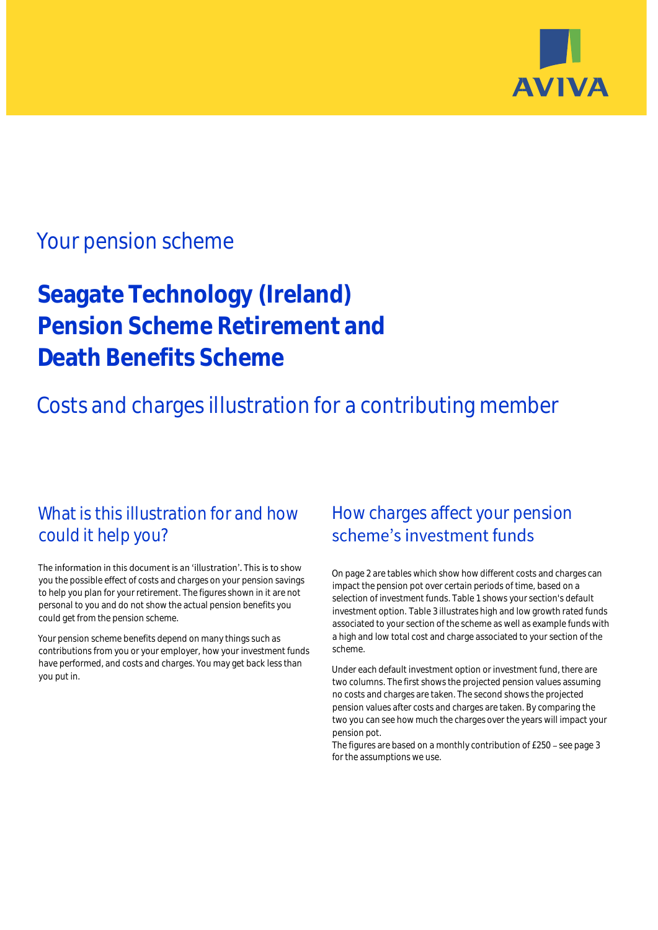

## Your pension scheme

# **Seagate Technology (Ireland) Pension Scheme Retirement and Death Benefits Scheme**

Costs and charges illustration for a contributing member

## What is this illustration for and how could it help you?

#### The information in this document is an 'illustration'. This is to show you the possible effect of costs and charges on your pension savings to help you plan for your retirement. The figures shown in it are not personal to you and do not show the actual pension benefits you could get from the pension scheme.

Your pension scheme benefits depend on many things such as contributions from you or your employer, how your investment funds have performed, and costs and charges. You may get back less than you put in.

## How charges affect your pension scheme's investment funds

On page 2 are tables which show how different costs and charges can impact the pension pot over certain periods of time, based on a selection of investment funds. Table 1 shows your section's default investment option. Table 3 illustrates high and low growth rated funds associated to your section of the scheme as well as example funds with a high and low total cost and charge associated to your section of the scheme.

Under each default investment option or investment fund, there are two columns. The first shows the projected pension values assuming no costs and charges are taken. The second shows the projected pension values after costs and charges are taken. By comparing the two you can see how much the charges over the years will impact your pension pot.

The figures are based on a monthly contribution of  $£250 -$  see page 3 for the assumptions we use.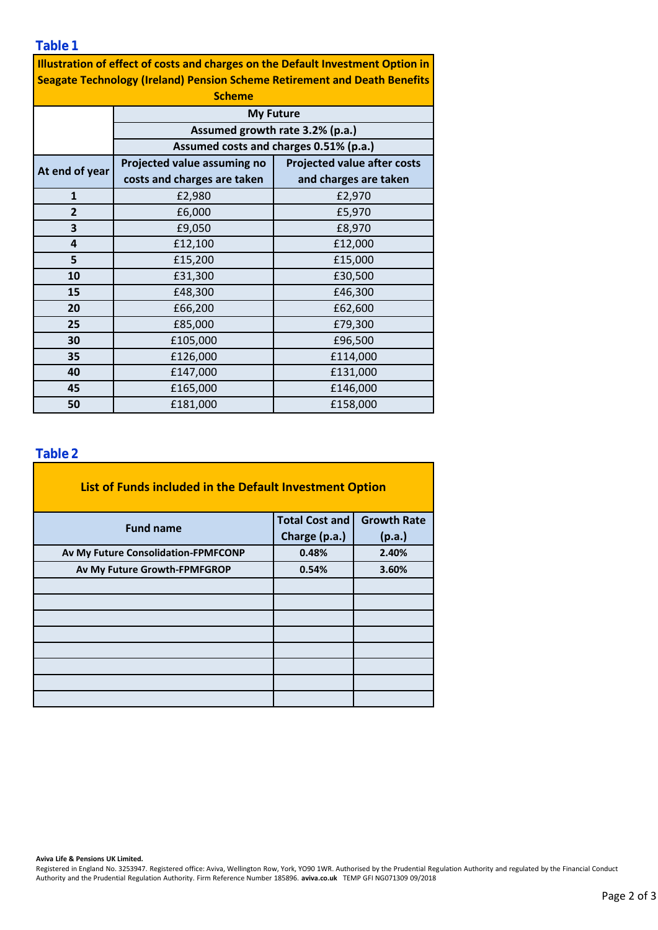**Table 1**

| <b>Illustration of effect of costs and charges on the Default Investment Option in</b> |
|----------------------------------------------------------------------------------------|
| <b>Seagate Technology (Ireland) Pension Scheme Retirement and Death Benefits</b>       |

| <b>Scheme</b>  |                                                                           |                                    |  |  |  |
|----------------|---------------------------------------------------------------------------|------------------------------------|--|--|--|
|                | <b>My Future</b>                                                          |                                    |  |  |  |
|                | Assumed growth rate 3.2% (p.a.)<br>Assumed costs and charges 0.51% (p.a.) |                                    |  |  |  |
|                |                                                                           |                                    |  |  |  |
| At end of year | Projected value assuming no                                               | <b>Projected value after costs</b> |  |  |  |
|                | costs and charges are taken                                               | and charges are taken              |  |  |  |
| $\mathbf{1}$   | £2,980                                                                    | £2,970                             |  |  |  |
| $\overline{2}$ | £6,000                                                                    | £5,970                             |  |  |  |
| 3              | £9,050                                                                    | £8,970                             |  |  |  |
| 4              | £12,100                                                                   | £12,000                            |  |  |  |
| 5              | £15,200                                                                   | £15,000                            |  |  |  |
| 10             | £31,300                                                                   | £30,500                            |  |  |  |
| 15             | £48,300                                                                   | £46,300                            |  |  |  |
| 20             | £66,200                                                                   | £62,600                            |  |  |  |
| 25             | £85,000                                                                   | £79,300                            |  |  |  |
| 30             | £105,000                                                                  | £96,500                            |  |  |  |
| 35             | £126,000                                                                  | £114,000                           |  |  |  |
| 40             | £147,000                                                                  | £131,000                           |  |  |  |
| 45             | £165,000                                                                  | £146,000                           |  |  |  |
| 50             | £181,000                                                                  | £158,000                           |  |  |  |

#### **Table 2**

| List of Funds included in the Default Investment Option |                       |                    |
|---------------------------------------------------------|-----------------------|--------------------|
| <b>Fund name</b>                                        | <b>Total Cost and</b> | <b>Growth Rate</b> |
|                                                         | Charge (p.a.)         | (p.a.)             |
| Av My Future Consolidation-FPMFCONP                     | 0.48%                 | 2.40%              |
| Av My Future Growth-FPMFGROP                            | 0.54%                 | 3.60%              |
|                                                         |                       |                    |
|                                                         |                       |                    |
|                                                         |                       |                    |
|                                                         |                       |                    |
|                                                         |                       |                    |
|                                                         |                       |                    |
|                                                         |                       |                    |
|                                                         |                       |                    |

**Aviva Life & Pensions UK Limited.**

Registered in England No. 3253947. Registered office: Aviva, Wellington Row, York, YO90 1WR. Authorised by the Prudential Regulation Authority and regulated by the Financial Conduct Authority and the Prudential Regulation Authority. Firm Reference Number 185896. **aviva.co.uk** TEMP GFI NG071309 09/2018